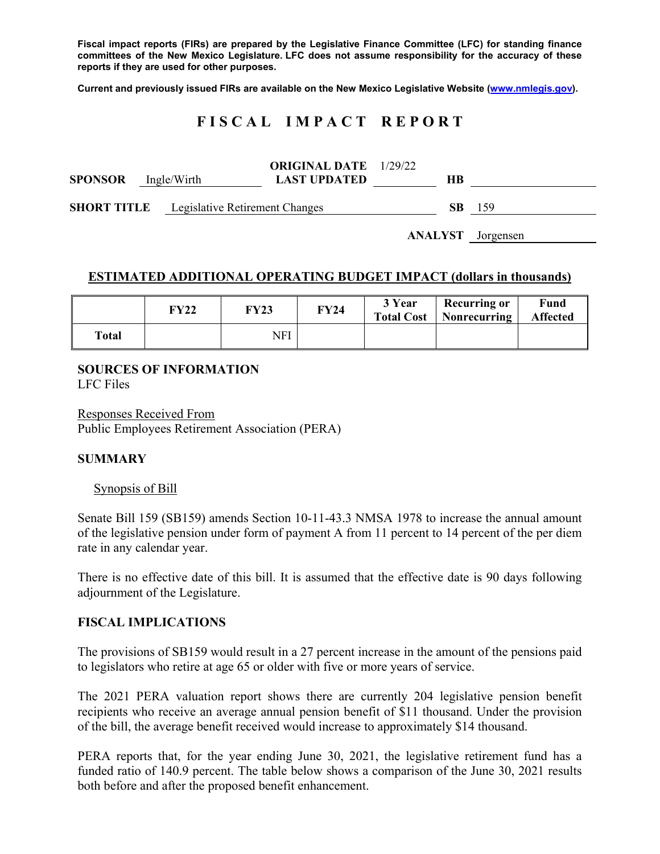**Fiscal impact reports (FIRs) are prepared by the Legislative Finance Committee (LFC) for standing finance committees of the New Mexico Legislature. LFC does not assume responsibility for the accuracy of these reports if they are used for other purposes.** 

**Current and previously issued FIRs are available on the New Mexico Legislative Website (www.nmlegis.gov).** 

# **F I S C A L I M P A C T R E P O R T**

| <b>SPONSOR</b> Ingle/Wirth                        |  | <b>ORIGINAL DATE</b> 1/29/22<br><b>LAST UPDATED</b> | HВ  |      |
|---------------------------------------------------|--|-----------------------------------------------------|-----|------|
| <b>SHORT TITLE</b> Legislative Retirement Changes |  |                                                     | SB. | -159 |

**ANALYST** Jorgensen

## **ESTIMATED ADDITIONAL OPERATING BUDGET IMPACT (dollars in thousands)**

|       | FY22 | FY23 | <b>FY24</b> | 3 Year | <b>Recurring or</b><br>Total Cost   Nonrecurring | Fund<br><b>Affected</b> |
|-------|------|------|-------------|--------|--------------------------------------------------|-------------------------|
| Total |      | NFI  |             |        |                                                  |                         |

#### **SOURCES OF INFORMATION**  LFC Files

Responses Received From Public Employees Retirement Association (PERA)

### **SUMMARY**

### Synopsis of Bill

Senate Bill 159 (SB159) amends Section 10-11-43.3 NMSA 1978 to increase the annual amount of the legislative pension under form of payment A from 11 percent to 14 percent of the per diem rate in any calendar year.

There is no effective date of this bill. It is assumed that the effective date is 90 days following adjournment of the Legislature.

### **FISCAL IMPLICATIONS**

The provisions of SB159 would result in a 27 percent increase in the amount of the pensions paid to legislators who retire at age 65 or older with five or more years of service.

The 2021 PERA valuation report shows there are currently 204 legislative pension benefit recipients who receive an average annual pension benefit of \$11 thousand. Under the provision of the bill, the average benefit received would increase to approximately \$14 thousand.

PERA reports that, for the year ending June 30, 2021, the legislative retirement fund has a funded ratio of 140.9 percent. The table below shows a comparison of the June 30, 2021 results both before and after the proposed benefit enhancement.